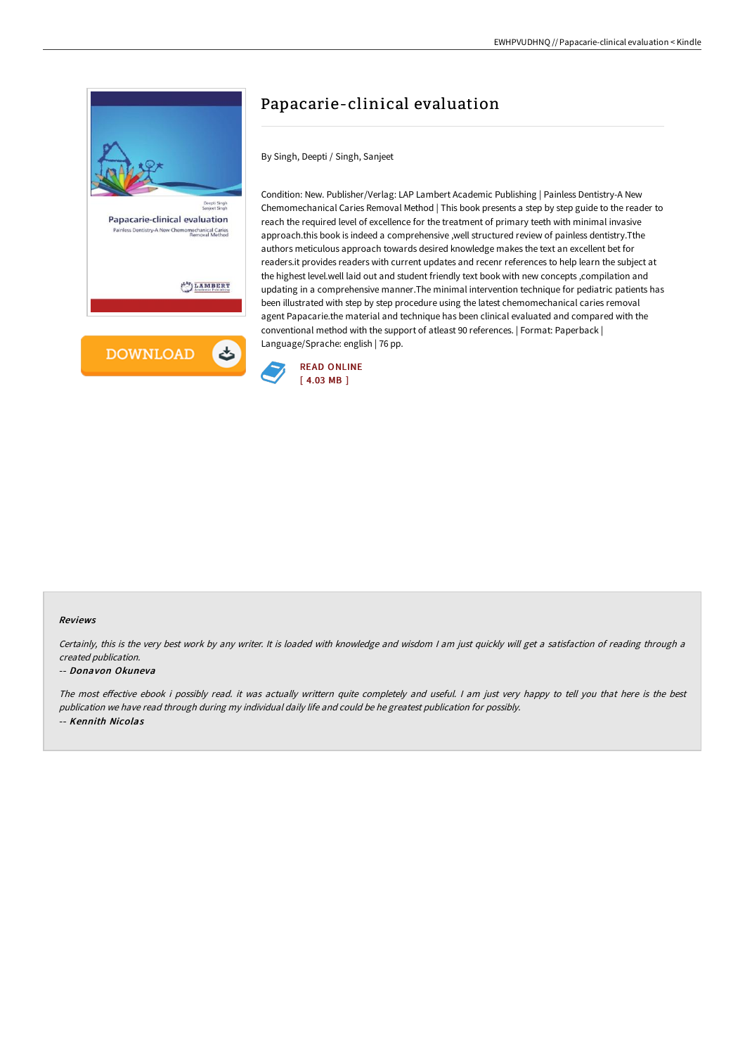

## Papacarie-clinical evaluation

By Singh, Deepti / Singh, Sanjeet

Condition: New. Publisher/Verlag: LAP Lambert Academic Publishing | Painless Dentistry-A New Chemomechanical Caries Removal Method | This book presents a step by step guide to the reader to reach the required level of excellence for the treatment of primary teeth with minimal invasive approach.this book is indeed a comprehensive ,well structured review of painless dentistry.Tthe authors meticulous approach towards desired knowledge makes the text an excellent bet for readers.it provides readers with current updates and recenr references to help learn the subject at the highest level.well laid out and student friendly text book with new concepts ,compilation and updating in a comprehensive manner.The minimal intervention technique for pediatric patients has been illustrated with step by step procedure using the latest chemomechanical caries removal agent Papacarie.the material and technique has been clinical evaluated and compared with the conventional method with the support of atleast 90 references. | Format: Paperback | Language/Sprache: english | 76 pp.



## Reviews

Certainly, this is the very best work by any writer. It is loaded with knowledge and wisdom <sup>I</sup> am just quickly will get <sup>a</sup> satisfaction of reading through <sup>a</sup> created publication.

## -- Donavon Okuneva

The most effective ebook i possibly read. it was actually writtern quite completely and useful. I am just very happy to tell you that here is the best publication we have read through during my individual daily life and could be he greatest publication for possibly. -- Kennith Nicolas